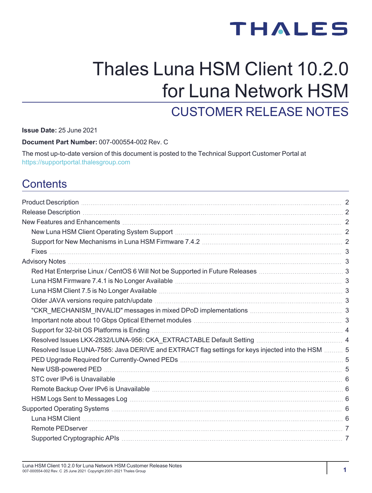# **THALES**

# Thales Luna HSM Client 10.2.0 for Luna Network HSM CUSTOMER RELEASE NOTES

**Issue Date:** 25 June 2021

**Document Part Number:** 007-000554-002 Rev. C

The most up-to-date version of this document is posted to the Technical Support Customer Portal at [https://supportportal.thalesgroup.com](https://supportportal.thalesgroup.com/)

# **Contents**

| New Features and Enhancements [111] New York 2014 19: 2014 19: 2015 19: 2014 19: 2015 19: 2016 19: 2016 19: 20                                                               |  |
|------------------------------------------------------------------------------------------------------------------------------------------------------------------------------|--|
|                                                                                                                                                                              |  |
|                                                                                                                                                                              |  |
|                                                                                                                                                                              |  |
|                                                                                                                                                                              |  |
|                                                                                                                                                                              |  |
|                                                                                                                                                                              |  |
| Luna HSM Client 7.5 is No Longer Available [111] Concentration and the HSM Client 7.5 is No Longer Available [111] Concentration and 3                                       |  |
|                                                                                                                                                                              |  |
|                                                                                                                                                                              |  |
|                                                                                                                                                                              |  |
|                                                                                                                                                                              |  |
|                                                                                                                                                                              |  |
| Resolved Issue LUNA-7585: Java DERIVE and EXTRACT flag settings for keys injected into the HSM  5                                                                            |  |
| PED Upgrade Required for Currently-Owned PEDs [11] [11] The Content Control of the Sequired for Currently-Owned PEDs [11] The Content Content Content Content of Section 4.5 |  |
|                                                                                                                                                                              |  |
|                                                                                                                                                                              |  |
|                                                                                                                                                                              |  |
|                                                                                                                                                                              |  |
|                                                                                                                                                                              |  |
|                                                                                                                                                                              |  |
|                                                                                                                                                                              |  |
|                                                                                                                                                                              |  |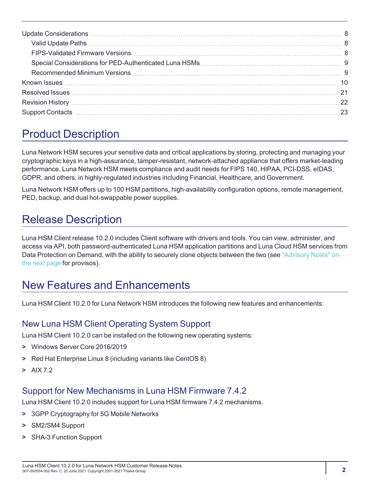# <span id="page-1-0"></span>Product Description

Luna Network HSM secures your sensitive data and critical applications by storing, protecting and managing your cryptographic keys in a high-assurance, tamper-resistant, network-attached appliance that offers market-leading performance. Luna Network HSM meets compliance and audit needs for FIPS 140, HIPAA, PCI-DSS, eIDAS, GDPR, and others, in highly-regulated industries including Financial, Healthcare, and Government.

Luna Network HSM offers up to 100 HSM partitions, high-availability configuration options, remote management, PED, backup, and dual hot-swappable power supplies.

# <span id="page-1-1"></span>Release Description

Luna HSM Client release 10.2.0 includes Client software with drivers and tools. You can view, administer, and access via API, both password-authenticated Luna HSM application partitions and Luna Cloud HSM services from Data Protection on Demand, with the ability to securely clone objects between the two (see "Advisory [Notes" on](#page-2-1) the next [page](#page-2-1) for provisos).

# <span id="page-1-2"></span>New Features and Enhancements

<span id="page-1-3"></span>Luna HSM Client 10.2.0 for Luna Network HSM introduces the following new features and enhancements:

# New Luna HSM Client Operating System Support

Luna HSM Client 10.2.0 can be installed on the following new operating systems:

- **>** Windows Server Core 2016/2019
- **>** Red Hat Enterprise Linux 8 (including variants like CentOS 8)
- <span id="page-1-4"></span>**>** AIX 7.2

# Support for New Mechanisms in Luna HSM Firmware 7.4.2

Luna HSM Client 10.2.0 includes support for Luna HSM firmware 7.4.2 mechanisms.

- **>** 3GPP Cryptography for 5G Mobile Networks
- **>** SM2/SM4 Support
- **>** SHA-3 Function Support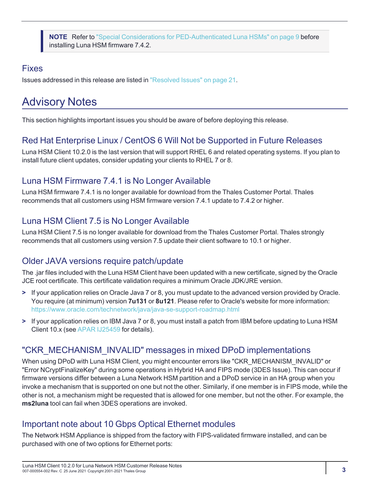**NOTE** Refer to "Special Considerations for [PED-Authenticated](#page-8-0) Luna HSMs" on page 9 before installing Luna HSM firmware 7.4.2.

# <span id="page-2-0"></span>Fixes

<span id="page-2-1"></span>Issues addressed in this release are listed in "Resolved [Issues" on](#page-20-0) page 21.

# Advisory Notes

<span id="page-2-2"></span>This section highlights important issues you should be aware of before deploying this release.

### Red Hat Enterprise Linux / CentOS 6 Will Not be Supported in Future Releases

Luna HSM Client 10.2.0 is the last version that will support RHEL 6 and related operating systems. If you plan to install future client updates, consider updating your clients to RHEL 7 or 8.

# <span id="page-2-3"></span>Luna HSM Firmware 7.4.1 is No Longer Available

Luna HSM firmware 7.4.1 is no longer available for download from the Thales Customer Portal. Thales recommends that all customers using HSM firmware version 7.4.1 update to 7.4.2 or higher.

# <span id="page-2-4"></span>Luna HSM Client 7.5 is No Longer Available

Luna HSM Client 7.5 is no longer available for download from the Thales Customer Portal. Thales strongly recommends that all customers using version 7.5 update their client software to 10.1 or higher.

# <span id="page-2-5"></span>Older JAVA versions require patch/update

The .jar files included with the Luna HSM Client have been updated with a new certificate, signed by the Oracle JCE root certificate. This certificate validation requires a minimum Oracle JDK/JRE version.

- **>** If your application relies on Oracle Java 7 or 8, you must update to the advanced version provided by Oracle. You require (at minimum) version **7u131** or **8u121**. Please refer to Oracle's website for more information: <https://www.oracle.com/technetwork/java/java-se-support-roadmap.html>
- **>** If your application relies on IBM Java 7 or 8, you must install a patch from IBM before updating to Luna HSM Client 10.x (see APAR [IJ25459](https://www.ibm.com/support/pages/apar/IJ25459) for details).

# <span id="page-2-6"></span>"CKR\_MECHANISM\_INVALID" messages in mixed DPoD implementations

When using DPoD with Luna HSM Client, you might encounter errors like "CKR\_MECHANISM\_INVALID" or "Error NCryptFinalizeKey" during some operations in Hybrid HA and FIPS mode (3DES Issue). This can occur if firmware versions differ between a Luna Network HSM partition and a DPoD service in an HA group when you invoke a mechanism that is supported on one but not the other. Similarly, if one member is in FIPS mode, while the other is not, a mechanism might be requested that is allowed for one member, but not the other. For example, the **ms2luna** tool can fail when 3DES operations are invoked.

# <span id="page-2-7"></span>Important note about 10 Gbps Optical Ethernet modules

The Network HSM Appliance is shipped from the factory with FIPS-validated firmware installed, and can be purchased with one of two options for Ethernet ports: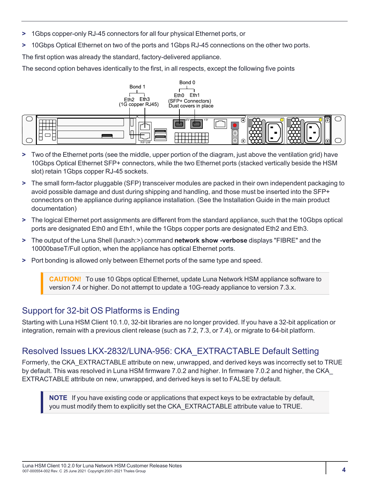- **>** 1Gbps copper-only RJ-45 connectors for all four physical Ethernet ports, or
- **>** 10Gbps Optical Ethernet on two of the ports and 1Gbps RJ-45 connections on the other two ports.

The first option was already the standard, factory-delivered appliance.

The second option behaves identically to the first, in all respects, except the following five points



- **>** Two of the Ethernet ports (see the middle, upper portion of the diagram, just above the ventilation grid) have 10Gbps Optical Ethernet SFP+ connectors, while the two Ethernet ports (stacked vertically beside the HSM slot) retain 1Gbps copper RJ-45 sockets.
- **>** The small form-factor pluggable (SFP) transceiver modules are packed in their own independent packaging to avoid possible damage and dust during shipping and handling, and those must be inserted into the SFP+ connectors on the appliance during appliance installation. (See the Installation Guide in the main product documentation)
- **>** The logical Ethernet port assignments are different from the standard appliance, such that the 10Gbps optical ports are designated Eth0 and Eth1, while the 1Gbps copper ports are designated Eth2 and Eth3.
- **>** The output of the Luna Shell (lunash:>) command **network show -verbose** displays "FIBRE" and the 10000baseT/Full option, when the appliance has optical Ethernet ports.
- **>** Port bonding is allowed only between Ethernet ports of the same type and speed.

**CAUTION!** To use 10 Gbps optical Ethernet, update Luna Network HSM appliance software to version 7.4 or higher. Do not attempt to update a 10G-ready appliance to version 7.3.x.

# <span id="page-3-0"></span>Support for 32-bit OS Platforms is Ending

Starting with Luna HSM Client 10.1.0, 32-bit libraries are no longer provided. If you have a 32-bit application or integration, remain with a previous client release (such as 7.2, 7.3, or 7.4), or migrate to 64-bit platform.

# <span id="page-3-1"></span>Resolved Issues LKX-2832/LUNA-956: CKA\_EXTRACTABLE Default Setting

Formerly, the CKA\_EXTRACTABLE attribute on new, unwrapped, and derived keys was incorrectly set to TRUE by default. This was resolved in Luna HSM firmware 7.0.2 and higher. In firmware 7.0.2 and higher, the CKA\_ EXTRACTABLE attribute on new, unwrapped, and derived keys is set to FALSE by default.

**NOTE** If you have existing code or applications that expect keys to be extractable by default, you must modify them to explicitly set the CKA\_EXTRACTABLE attribute value to TRUE.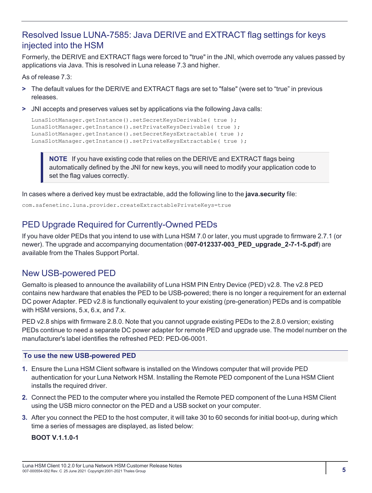# <span id="page-4-0"></span>Resolved Issue LUNA-7585: Java DERIVE and EXTRACT flag settings for keys injected into the HSM

Formerly, the DERIVE and EXTRACT flags were forced to "true" in the JNI, which overrode any values passed by applications via Java. This is resolved in Luna release 7.3 and higher.

As of release 7.3:

- **>** The default values for the DERIVE and EXTRACT flags are set to "false" (were set to "true" in previous releases.
- **>** JNI accepts and preserves values set by applications via the following Java calls:

```
LunaSlotManager.getInstance().setSecretKeysDerivable( true );
LunaSlotManager.getInstance().setPrivateKeysDerivable( true );
LunaSlotManager.getInstance().setSecretKeysExtractable( true );
LunaSlotManager.getInstance().setPrivateKeysExtractable( true );
```
**NOTE** If you have existing code that relies on the DERIVE and EXTRACT flags being automatically defined by the JNI for new keys, you will need to modify your application code to set the flag values correctly.

In cases where a derived key must be extractable, add the following line to the **java.security** file:

<span id="page-4-1"></span>com.safenetinc.luna.provider.createExtractablePrivateKeys=true

# PED Upgrade Required for Currently-Owned PEDs

If you have older PEDs that you intend to use with Luna HSM 7.0 or later, you must upgrade to firmware 2.7.1 (or newer). The upgrade and accompanying documentation (**007-012337-003\_PED\_upgrade\_2-7-1-5.pdf**) are available from the Thales Support Portal.

# <span id="page-4-2"></span>New USB-powered PED

Gemalto is pleased to announce the availability of Luna HSM PIN Entry Device (PED) v2.8. The v2.8 PED contains new hardware that enables the PED to be USB-powered; there is no longer a requirement for an external DC power Adapter. PED v2.8 is functionally equivalent to your existing (pre-generation) PEDs and is compatible with HSM versions, 5.x, 6.x, and 7.x.

PED v2.8 ships with firmware 2.8.0. Note that you cannot upgrade existing PEDs to the 2.8.0 version; existing PEDs continue to need a separate DC power adapter for remote PED and upgrade use. The model number on the manufacturer's label identifies the refreshed PED: PED-06-0001.

#### **To use the new USB-powered PED**

- **1.** Ensure the Luna HSM Client software is installed on the Windows computer that will provide PED authentication for your Luna Network HSM. Installing the Remote PED component of the Luna HSM Client installs the required driver.
- **2.** Connect the PED to the computer where you installed the Remote PED component of the Luna HSM Client using the USB micro connector on the PED and a USB socket on your computer.
- **3.** After you connect the PED to the host computer, it will take 30 to 60 seconds for initial boot-up, during which time a series of messages are displayed, as listed below:

**BOOT V.1.1.0-1**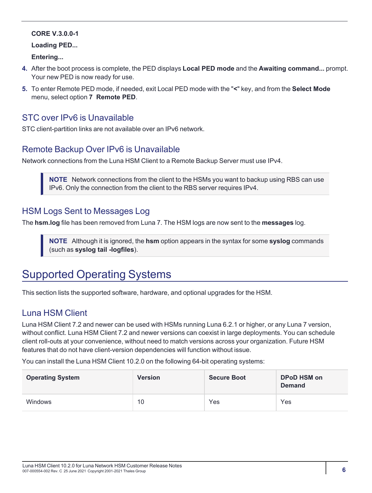#### **CORE V.3.0.0-1**

#### **Loading PED...**

**Entering...**

- **4.** After the boot process is complete, the PED displays **Local PED mode** and the **Awaiting command...** prompt. Your new PED is now ready for use.
- **5.** To enter Remote PED mode, if needed, exit Local PED mode with the "**<**" key, and from the **Select Mode** menu, select option **7 Remote PED**.

#### <span id="page-5-0"></span>STC over IPv6 is Unavailable

<span id="page-5-1"></span>STC client-partition links are not available over an IPv6 network.

### Remote Backup Over IPv6 is Unavailable

Network connections from the Luna HSM Client to a Remote Backup Server must use IPv4.

**NOTE** Network connections from the client to the HSMs you want to backup using RBS can use IPv6. Only the connection from the client to the RBS server requires IPv4.

#### <span id="page-5-2"></span>HSM Logs Sent to Messages Log

The **hsm.log** file has been removed from Luna 7. The HSM logs are now sent to the **messages** log.

**NOTE** Although it is ignored, the **hsm** option appears in the syntax for some **syslog** commands (such as **syslog tail -logfiles**).

# <span id="page-5-3"></span>Supported Operating Systems

<span id="page-5-4"></span>This section lists the supported software, hardware, and optional upgrades for the HSM.

### Luna HSM Client

Luna HSM Client 7.2 and newer can be used with HSMs running Luna 6.2.1 or higher, or any Luna 7 version, without conflict. Luna HSM Client 7.2 and newer versions can coexist in large deployments. You can schedule client roll-outs at your convenience, without need to match versions across your organization. Future HSM features that do not have client-version dependencies will function without issue.

You can install the Luna HSM Client 10.2.0 on the following 64-bit operating systems:

| <b>Operating System</b> | <b>Version</b> | <b>Secure Boot</b> | <b>DPoD HSM on</b><br><b>Demand</b> |
|-------------------------|----------------|--------------------|-------------------------------------|
| <b>Windows</b>          | 10             | Yes                | Yes                                 |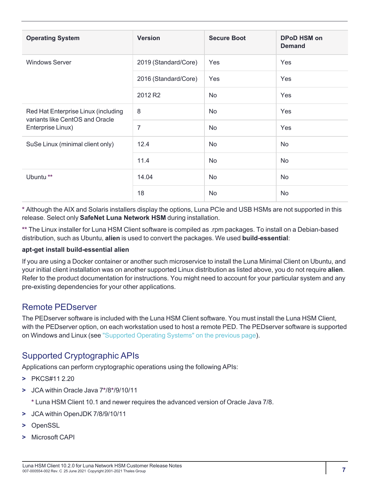| <b>Operating System</b>                                                                     | <b>Version</b>       | <b>Secure Boot</b> | <b>DPoD HSM on</b><br><b>Demand</b> |
|---------------------------------------------------------------------------------------------|----------------------|--------------------|-------------------------------------|
| <b>Windows Server</b>                                                                       | 2019 (Standard/Core) | Yes                | Yes                                 |
|                                                                                             | 2016 (Standard/Core) | Yes                | Yes                                 |
|                                                                                             | 2012 R2              | No                 | Yes                                 |
| Red Hat Enterprise Linux (including<br>variants like CentOS and Oracle<br>Enterprise Linux) | 8                    | No                 | Yes                                 |
|                                                                                             | $\overline{7}$       | No                 | Yes                                 |
| SuSe Linux (minimal client only)                                                            | 12.4                 | No                 | <b>No</b>                           |
|                                                                                             | 11.4                 | No                 | No                                  |
| Ubuntu <sup>**</sup>                                                                        | 14.04                | No                 | No                                  |
|                                                                                             | 18                   | No                 | No                                  |

**\*** Although the AIX and Solaris installers display the options, Luna PCIe and USB HSMs are not supported in this release. Select only **SafeNet Luna Network HSM** during installation.

**\*\*** The Linux installer for Luna HSM Client software is compiled as .rpm packages. To install on a Debian-based distribution, such as Ubuntu, **alien** is used to convert the packages. We used **build-essential**:

#### **apt-get install build-essential alien**

If you are using a Docker container or another such microservice to install the Luna Minimal Client on Ubuntu, and your initial client installation was on another supported Linux distribution as listed above, you do not require **alien**. Refer to the product documentation for instructions. You might need to account for your particular system and any pre-existing dependencies for your other applications.

#### <span id="page-6-0"></span>Remote PEDserver

The PEDserver software is included with the Luna HSM Client software. You must install the Luna HSM Client, with the PEDserver option, on each workstation used to host a remote PED. The PEDserver software is supported on Windows and Linux (see "Supported Operating [Systems" on](#page-5-3) the previous page).

### <span id="page-6-1"></span>Supported Cryptographic APIs

Applications can perform cryptographic operations using the following APIs:

- **>** PKCS#11 2.20
- **>** JCA within Oracle Java 7**\***/8**\***/9/10/11
	- **\*** Luna HSM Client 10.1 and newer requires the advanced version of Oracle Java 7/8.
- **>** JCA within OpenJDK 7/8/9/10/11
- **>** OpenSSL
- **>** Microsoft CAPI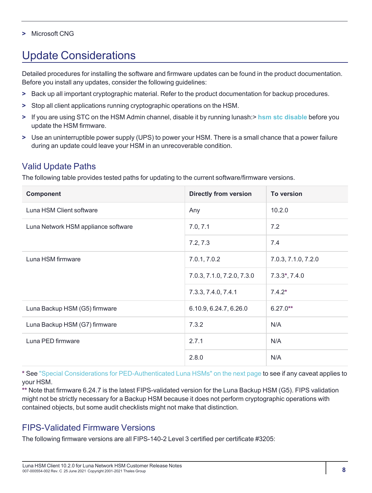#### <span id="page-7-0"></span>**>** Microsoft CNG

# Update Considerations

Detailed procedures for installing the software and firmware updates can be found in the product documentation. Before you install any updates, consider the following guidelines:

- **>** Back up all important cryptographic material. Refer to the product documentation for backup procedures.
- **>** Stop all client applications running cryptographic operations on the HSM.
- **>** If you are using STC on the HSM Admin channel, disable it by running lunash:> **hsm stc [disable](../../../../../../Content/lunash/commands/hsm/hsm_stc_disable.htm)** before you update the HSM firmware.
- **>** Use an uninterruptible power supply (UPS) to power your HSM. There is a small chance that a power failure during an update could leave your HSM in an unrecoverable condition.

# <span id="page-7-1"></span>Valid Update Paths

The following table provides tested paths for updating to the current software/firmware versions.

| <b>Component</b>                    | <b>Directly from version</b> | <b>To version</b>   |
|-------------------------------------|------------------------------|---------------------|
| Luna HSM Client software            | Any                          | 10.2.0              |
| Luna Network HSM appliance software | 7.0, 7.1                     | 7.2                 |
|                                     | 7.2, 7.3                     | 7.4                 |
| Luna HSM firmware                   | 7.0.1, 7.0.2                 | 7.0.3, 7.1.0, 7.2.0 |
|                                     | 7.0.3, 7.1.0, 7.2.0, 7.3.0   | $7.3.3^*$ , $7.4.0$ |
|                                     | 7.3.3, 7.4.0, 7.4.1          | $7.4.2*$            |
| Luna Backup HSM (G5) firmware       | 6.10.9, 6.24.7, 6.26.0       | $6.27.0**$          |
| Luna Backup HSM (G7) firmware       | 7.3.2                        | N/A                 |
| Luna PED firmware                   | 2.7.1                        | N/A                 |
|                                     | 2.8.0                        | N/A                 |

**\*** See "Special Considerations for [PED-Authenticated](#page-8-0) Luna HSMs" on the next page to see if any caveat applies to your HSM.

**\*\*** Note that firmware 6.24.7 is the latest FIPS-validated version for the Luna Backup HSM (G5). FIPS validation might not be strictly necessary for a Backup HSM because it does not perform cryptographic operations with contained objects, but some audit checklists might not make that distinction.

# <span id="page-7-2"></span>FIPS-Validated Firmware Versions

The following firmware versions are all FIPS-140-2 Level 3 certified per certificate #3205: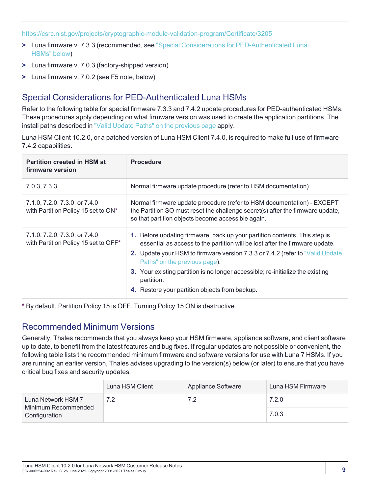<https://csrc.nist.gov/projects/cryptographic-module-validation-program/Certificate/3205>

- **>** Luna firmware v. 7.3.3 (recommended, see "Special Considerations for [PED-Authenticated](#page-8-0) Luna [HSMs" below](#page-8-0))
- **>** Luna firmware v. 7.0.3 (factory-shipped version)
- <span id="page-8-0"></span>**>** Luna firmware v. 7.0.2 (see F5 note, below)

# Special Considerations for PED-Authenticated Luna HSMs

Refer to the following table for special firmware 7.3.3 and 7.4.2 update procedures for PED-authenticated HSMs. These procedures apply depending on what firmware version was used to create the application partitions. The install paths described in "Valid Update [Paths" on](#page-7-1) the previous page apply.

Luna HSM Client 10.2.0, or a patched version of Luna HSM Client 7.4.0, is required to make full use of firmware 7.4.2 capabilities.

| <b>Partition created in HSM at</b><br>firmware version                | <b>Procedure</b>                                                                                                                                                                                                                                                                                                                                                                                                                      |
|-----------------------------------------------------------------------|---------------------------------------------------------------------------------------------------------------------------------------------------------------------------------------------------------------------------------------------------------------------------------------------------------------------------------------------------------------------------------------------------------------------------------------|
| 7.0.3, 7.3.3                                                          | Normal firmware update procedure (refer to HSM documentation)                                                                                                                                                                                                                                                                                                                                                                         |
| 7.1.0, 7.2.0, 7.3.0, or 7.4.0<br>with Partition Policy 15 set to ON*  | Normal firmware update procedure (refer to HSM documentation) - EXCEPT<br>the Partition SO must reset the challenge secret(s) after the firmware update,<br>so that partition objects become accessible again.                                                                                                                                                                                                                        |
| 7.1.0, 7.2.0, 7.3.0, or 7.4.0<br>with Partition Policy 15 set to OFF* | 1. Before updating firmware, back up your partition contents. This step is<br>essential as access to the partition will be lost after the firmware update.<br><b>2.</b> Update your HSM to firmware version 7.3.3 or 7.4.2 (refer to "Valid Update<br>Paths" on the previous page).<br>3. Your existing partition is no longer accessible; re-initialize the existing<br>partition.<br>4. Restore your partition objects from backup. |

<span id="page-8-1"></span>**\*** By default, Partition Policy 15 is OFF. Turning Policy 15 ON is destructive.

### Recommended Minimum Versions

Generally, Thales recommends that you always keep your HSM firmware, appliance software, and client software up to date, to benefit from the latest features and bug fixes. If regular updates are not possible or convenient, the following table lists the recommended minimum firmware and software versions for use with Luna 7 HSMs. If you are running an earlier version, Thales advises upgrading to the version(s) below (or later) to ensure that you have critical bug fixes and security updates.

|                                           | Luna HSM Client | Appliance Software | Luna HSM Firmware |
|-------------------------------------------|-----------------|--------------------|-------------------|
| Luna Network HSM 7<br>Minimum Recommended |                 | 7.2                | 7.2.0             |
| Configuration                             |                 |                    | 7.0.3             |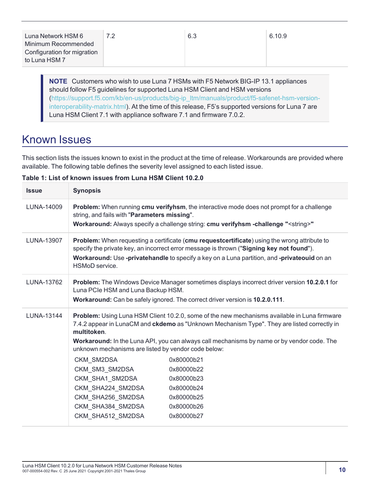**NOTE** Customers who wish to use Luna 7 HSMs with F5 Network BIG-IP 13.1 appliances should follow F5 guidelines for supported Luna HSM Client and HSM versions [\(https://support.f5.com/kb/en-us/products/big-ip\\_ltm/manuals/product/f5-safenet-hsm-version](https://support.f5.com/kb/en-us/products/big-ip_ltm/manuals/product/f5-safenet-hsm-version-interoperability-matrix.html)[interoperability-matrix.html\)](https://support.f5.com/kb/en-us/products/big-ip_ltm/manuals/product/f5-safenet-hsm-version-interoperability-matrix.html). At the time of this release, F5's supported versions for Luna 7 are Luna HSM Client 7.1 with appliance software 7.1 and firmware 7.0.2.

# <span id="page-9-0"></span>Known Issues

This section lists the issues known to exist in the product at the time of release. Workarounds are provided where available. The following table defines the severity level assigned to each listed issue.

| <b>Issue</b> | <b>Synopsis</b>                                                                                                                     |                                                                                                                                                                                                                                                                                                  |
|--------------|-------------------------------------------------------------------------------------------------------------------------------------|--------------------------------------------------------------------------------------------------------------------------------------------------------------------------------------------------------------------------------------------------------------------------------------------------|
| LUNA-14009   | string, and fails with "Parameters missing".                                                                                        | Problem: When running cmu verifyhsm, the interactive mode does not prompt for a challenge<br>Workaround: Always specify a challenge string: cmu verifyhsm -challenge " <string>"</string>                                                                                                        |
| LUNA-13907   | HSMoD service.                                                                                                                      | Problem: When requesting a certificate (cmu requestcertificate) using the wrong attribute to<br>specify the private key, an incorrect error message is thrown ("Signing key not found").<br>Workaround: Use -privatehandle to specify a key on a Luna partition, and -privateouid on an          |
| LUNA-13762   | Luna PCIe HSM and Luna Backup HSM.                                                                                                  | Problem: The Windows Device Manager sometimes displays incorrect driver version 10.2.0.1 for<br>Workaround: Can be safely ignored. The correct driver version is 10.2.0.111.                                                                                                                     |
| LUNA-13144   | multitoken.<br>unknown mechanisms are listed by vendor code below:                                                                  | <b>Problem:</b> Using Luna HSM Client 10.2.0, some of the new mechanisms available in Luna firmware<br>7.4.2 appear in LunaCM and ckdemo as "Unknown Mechanism Type". They are listed correctly in<br>Workaround: In the Luna API, you can always call mechanisms by name or by vendor code. The |
|              | CKM_SM2DSA<br>CKM SM3 SM2DSA<br>CKM SHA1_SM2DSA<br>CKM_SHA224_SM2DSA<br>CKM_SHA256_SM2DSA<br>CKM_SHA384_SM2DSA<br>CKM SHA512 SM2DSA | 0x80000b21<br>0x80000b22<br>0x80000b23<br>0x80000b24<br>0x80000b25<br>0x80000b26<br>0x80000b27                                                                                                                                                                                                   |

**Table 1: List of known issues from Luna HSM Client 10.2.0**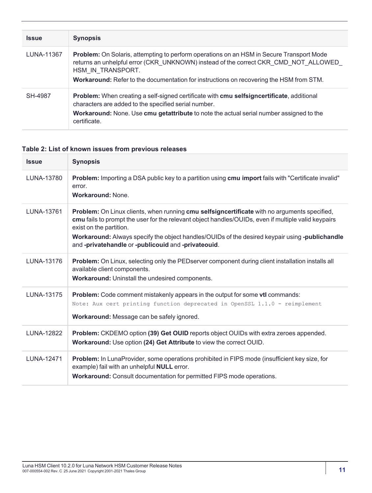| <b>Issue</b> | <b>Synopsis</b>                                                                                                                                                                                                                                                                                               |
|--------------|---------------------------------------------------------------------------------------------------------------------------------------------------------------------------------------------------------------------------------------------------------------------------------------------------------------|
| LUNA-11367   | <b>Problem:</b> On Solaris, attempting to perform operations on an HSM in Secure Transport Mode<br>returns an unhelpful error (CKR_UNKNOWN) instead of the correct CKR_CMD_NOT_ALLOWED<br>HSM IN TRANSPORT.<br><b>Workaround:</b> Refer to the documentation for instructions on recovering the HSM from STM. |
| SH-4987      | Problem: When creating a self-signed certificate with cmu selfsigncertificate, additional<br>characters are added to the specified serial number.<br><b>Workaround:</b> None. Use cmu getattribute to note the actual serial number assigned to the<br>certificate.                                           |

### **Table 2: List of known issues from previous releases**

| <b>Issue</b>      | <b>Synopsis</b>                                                                                                                                                                                                                                                                                                                                                                         |
|-------------------|-----------------------------------------------------------------------------------------------------------------------------------------------------------------------------------------------------------------------------------------------------------------------------------------------------------------------------------------------------------------------------------------|
| LUNA-13780        | Problem: Importing a DSA public key to a partition using cmu import fails with "Certificate invalid"<br>error.<br><b>Workaround: None.</b>                                                                                                                                                                                                                                              |
| LUNA-13761        | Problem: On Linux clients, when running cmu selfsigncertificate with no arguments specified,<br>cmu fails to prompt the user for the relevant object handles/OUIDs, even if multiple valid keypairs<br>exist on the partition.<br>Workaround: Always specify the object handles/OUIDs of the desired keypair using -publichandle<br>and -privatehandle or -publicouid and -privateouid. |
| LUNA-13176        | Problem: On Linux, selecting only the PEDserver component during client installation installs all<br>available client components.<br>Workaround: Uninstall the undesired components.                                                                                                                                                                                                    |
| LUNA-13175        | Problem: Code comment mistakenly appears in the output for some vtl commands:<br>Note: Aux cert printing function deprecated in OpenSSL 1.1.0 - reimplement<br>Workaround: Message can be safely ignored.                                                                                                                                                                               |
| LUNA-12822        | Problem: CKDEMO option (39) Get OUID reports object OUIDs with extra zeroes appended.<br>Workaround: Use option (24) Get Attribute to view the correct OUID.                                                                                                                                                                                                                            |
| <b>LUNA-12471</b> | Problem: In LunaProvider, some operations prohibited in FIPS mode (insufficient key size, for<br>example) fail with an unhelpful NULL error.<br>Workaround: Consult documentation for permitted FIPS mode operations.                                                                                                                                                                   |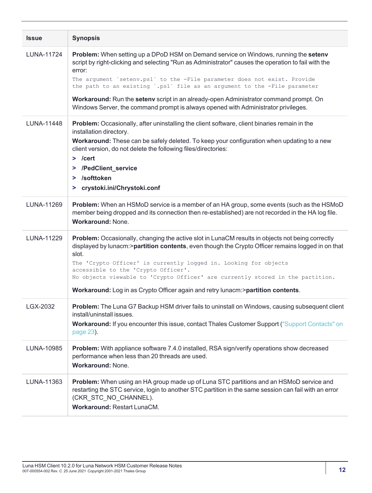| <b>Issue</b>      | <b>Synopsis</b>                                                                                                                                                                                                                                                                                                                                                                                                                                                                                                                                      |
|-------------------|------------------------------------------------------------------------------------------------------------------------------------------------------------------------------------------------------------------------------------------------------------------------------------------------------------------------------------------------------------------------------------------------------------------------------------------------------------------------------------------------------------------------------------------------------|
| <b>LUNA-11724</b> | <b>Problem:</b> When setting up a DPoD HSM on Demand service on Windows, running the setenv<br>script by right-clicking and selecting "Run as Administrator" causes the operation to fail with the<br>error:<br>The argument `setenv.ps1` to the -File parameter does not exist. Provide<br>the path to an existing '.ps1' file as an argument to the -File parameter<br>Workaround: Run the setenv script in an already-open Administrator command prompt. On<br>Windows Server, the command prompt is always opened with Administrator privileges. |
| LUNA-11448        | Problem: Occasionally, after uninstalling the client software, client binaries remain in the<br>installation directory.<br>Workaround: These can be safely deleted. To keep your configuration when updating to a new<br>client version, do not delete the following files/directories:<br>$>$ /cert<br>> /PedClient_service<br>> /softtoken<br>> crystoki.ini/Chrystoki.conf                                                                                                                                                                        |
| LUNA-11269        | Problem: When an HSMoD service is a member of an HA group, some events (such as the HSMoD<br>member being dropped and its connection then re-established) are not recorded in the HA log file.<br><b>Workaround: None.</b>                                                                                                                                                                                                                                                                                                                           |
| LUNA-11229        | Problem: Occasionally, changing the active slot in LunaCM results in objects not being correctly<br>displayed by lunacm:>partition contents, even though the Crypto Officer remains logged in on that<br>slot.<br>The 'Crypto Officer' is currently logged in. Looking for objects<br>accessible to the 'Crypto Officer'.<br>No objects viewable to 'Crypto Officer' are currently stored in the partition.<br>Workaround: Log in as Crypto Officer again and retry lunacm:>partition contents.                                                      |
| LGX-2032          | Problem: The Luna G7 Backup HSM driver fails to uninstall on Windows, causing subsequent client<br>install/uninstall issues.<br><b>Workaround:</b> If you encounter this issue, contact Thales Customer Support ("Support Contacts" on<br>page 23).                                                                                                                                                                                                                                                                                                  |
| LUNA-10985        | Problem: With appliance software 7.4.0 installed, RSA sign/verify operations show decreased<br>performance when less than 20 threads are used.<br><b>Workaround: None.</b>                                                                                                                                                                                                                                                                                                                                                                           |
| LUNA-11363        | Problem: When using an HA group made up of Luna STC partitions and an HSMoD service and<br>restarting the STC service, login to another STC partition in the same session can fail with an error<br>(CKR_STC_NO_CHANNEL).<br><b>Workaround: Restart LunaCM.</b>                                                                                                                                                                                                                                                                                      |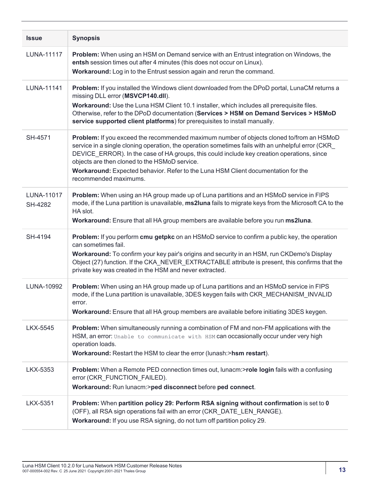| <b>Issue</b>          | <b>Synopsis</b>                                                                                                                                                                                                                                                                                                                                                                                                                                            |
|-----------------------|------------------------------------------------------------------------------------------------------------------------------------------------------------------------------------------------------------------------------------------------------------------------------------------------------------------------------------------------------------------------------------------------------------------------------------------------------------|
| <b>LUNA-11117</b>     | Problem: When using an HSM on Demand service with an Entrust integration on Windows, the<br>entsh session times out after 4 minutes (this does not occur on Linux).<br>Workaround: Log in to the Entrust session again and rerun the command.                                                                                                                                                                                                              |
| LUNA-11141            | Problem: If you installed the Windows client downloaded from the DPoD portal, LunaCM returns a<br>missing DLL error (MSVCP140.dll).<br>Workaround: Use the Luna HSM Client 10.1 installer, which includes all prerequisite files.<br>Otherwise, refer to the DPoD documentation (Services > HSM on Demand Services > HSMoD<br>service supported client platforms) for prerequisites to install manually.                                                   |
| SH-4571               | Problem: If you exceed the recommended maximum number of objects cloned to/from an HSMoD<br>service in a single cloning operation, the operation sometimes fails with an unhelpful error (CKR<br>DEVICE_ERROR). In the case of HA groups, this could include key creation operations, since<br>objects are then cloned to the HSMoD service.<br>Workaround: Expected behavior. Refer to the Luna HSM Client documentation for the<br>recommended maximums. |
| LUNA-11017<br>SH-4282 | Problem: When using an HA group made up of Luna partitions and an HSMoD service in FIPS<br>mode, if the Luna partition is unavailable, ms2luna fails to migrate keys from the Microsoft CA to the<br>HA slot.<br>Workaround: Ensure that all HA group members are available before you run ms2luna.                                                                                                                                                        |
| SH-4194               | <b>Problem:</b> If you perform <b>cmu getpkc</b> on an HSMoD service to confirm a public key, the operation<br>can sometimes fail.<br>Workaround: To confirm your key pair's origins and security in an HSM, run CKDemo's Display<br>Object (27) function. If the CKA_NEVER_EXTRACTABLE attribute is present, this confirms that the<br>private key was created in the HSM and never extracted.                                                            |
| LUNA-10992            | Problem: When using an HA group made up of Luna partitions and an HSMoD service in FIPS<br>mode, if the Luna partition is unavailable, 3DES keygen fails with CKR_MECHANISM_INVALID<br>error.<br>Workaround: Ensure that all HA group members are available before initiating 3DES keygen.                                                                                                                                                                 |
| LKX-5545              | Problem: When simultaneously running a combination of FM and non-FM applications with the<br>HSM, an error: Unable to communicate with HSM can occasionally occur under very high<br>operation loads.<br>Workaround: Restart the HSM to clear the error (lunash:>hsm restart).                                                                                                                                                                             |
| LKX-5353              | Problem: When a Remote PED connection times out, lunacm:>role login fails with a confusing<br>error (CKR_FUNCTION_FAILED).<br>Workaround: Run lunacm:>ped disconnect before ped connect.                                                                                                                                                                                                                                                                   |
| LKX-5351              | Problem: When partition policy 29: Perform RSA signing without confirmation is set to 0<br>(OFF), all RSA sign operations fail with an error (CKR_DATE_LEN_RANGE).<br>Workaround: If you use RSA signing, do not turn off partition policy 29.                                                                                                                                                                                                             |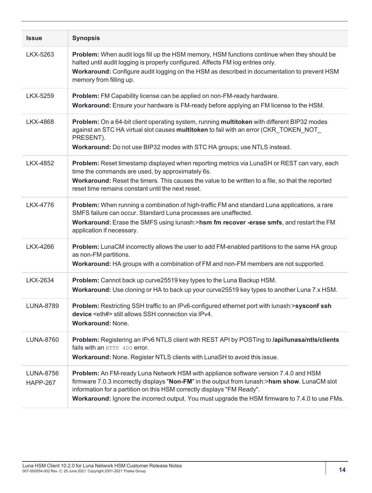| <b>Issue</b>                 | <b>Synopsis</b>                                                                                                                                                                                                                                                                                                                                                   |
|------------------------------|-------------------------------------------------------------------------------------------------------------------------------------------------------------------------------------------------------------------------------------------------------------------------------------------------------------------------------------------------------------------|
| LKX-5263                     | Problem: When audit logs fill up the HSM memory, HSM functions continue when they should be<br>halted until audit logging is properly configured. Affects FM log entries only.<br>Workaround: Configure audit logging on the HSM as described in documentation to prevent HSM<br>memory from filling up.                                                          |
| LKX-5259                     | Problem: FM Capability license can be applied on non-FM-ready hardware.<br>Workaround: Ensure your hardware is FM-ready before applying an FM license to the HSM.                                                                                                                                                                                                 |
| <b>LKX-4868</b>              | Problem: On a 64-bit client operating system, running multitoken with different BIP32 modes<br>against an STC HA virtual slot causes multitoken to fail with an error (CKR_TOKEN_NOT_<br>PRESENT).<br>Workaround: Do not use BIP32 modes with STC HA groups; use NTLS instead.                                                                                    |
| <b>LKX-4852</b>              | Problem: Reset timestamp displayed when reporting metrics via LunaSH or REST can vary, each<br>time the commands are used, by approximately 6s.<br>Workaround: Reset the timers. This causes the value to be written to a file, so that the reported<br>reset time remains constant until the next reset.                                                         |
| <b>LKX-4776</b>              | Problem: When running a combination of high-traffic FM and standard Luna applications, a rare<br>SMFS failure can occur. Standard Luna processes are unaffected.<br>Workaround: Erase the SMFS using lunash:>hsm fm recover -erase smfs, and restart the FM<br>application if necessary.                                                                          |
| LKX-4266                     | Problem: LunaCM incorrectly allows the user to add FM-enabled partitions to the same HA group<br>as non-FM partitions.<br>Workaround: HA groups with a combination of FM and non-FM members are not supported.                                                                                                                                                    |
| LKX-2634                     | Problem: Cannot back up curve25519 key types to the Luna Backup HSM.<br>Workaround: Use cloning or HA to back up your curve25519 key types to another Luna 7.x HSM.                                                                                                                                                                                               |
| <b>LUNA-8789</b>             | Problem: Restricting SSH traffic to an IPv6-configured ethernet port with lunash:>sysconf ssh<br>device <eth#> still allows SSH connection via IPv4.<br/><b>Workaround: None.</b></eth#>                                                                                                                                                                          |
| <b>LUNA-8760</b>             | Problem: Registering an IPv6 NTLS client with REST API by POSTing to /api/lunasa/ntls/clients<br>fails with an HTTP 400 error.<br>Workaround: None. Register NTLS clients with LunaSH to avoid this issue.                                                                                                                                                        |
| LUNA-8756<br><b>HAPP-267</b> | Problem: An FM-ready Luna Network HSM with appliance software version 7.4.0 and HSM<br>firmware 7.0.3 incorrectly displays "Non-FM" in the output from lunash:>hsm show. LunaCM slot<br>information for a partition on this HSM correctly displays "FM Ready".<br>Workaround: Ignore the incorrect output. You must upgrade the HSM firmware to 7.4.0 to use FMs. |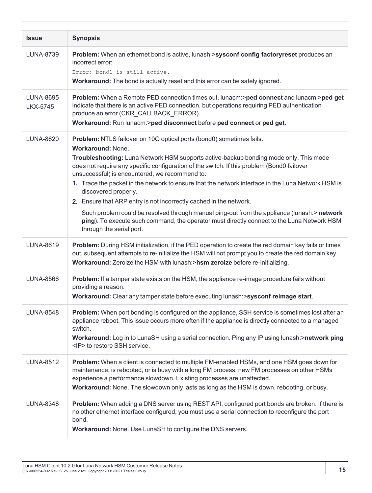| <b>Issue</b>                        | <b>Synopsis</b>                                                                                                                                                                                                                                                                                                                                                                                                                                                                                                                                                                                                                                                                                                                                                        |
|-------------------------------------|------------------------------------------------------------------------------------------------------------------------------------------------------------------------------------------------------------------------------------------------------------------------------------------------------------------------------------------------------------------------------------------------------------------------------------------------------------------------------------------------------------------------------------------------------------------------------------------------------------------------------------------------------------------------------------------------------------------------------------------------------------------------|
| <b>LUNA-8739</b>                    | Problem: When an ethernet bond is active, lunash:>sysconf config factoryreset produces an<br>incorrect error:<br>Error: bond1 is still active.<br>Workaround: The bond is actually reset and this error can be safely ignored.                                                                                                                                                                                                                                                                                                                                                                                                                                                                                                                                         |
| <b>LUNA-8695</b><br><b>LKX-5745</b> | Problem: When a Remote PED connection times out, lunacm:>ped connect and lunacm:>ped get<br>indicate that there is an active PED connection, but operations requiring PED authentication<br>produce an error (CKR_CALLBACK_ERROR).<br>Workaround: Run lunacm:>ped disconnect before ped connect or ped get.                                                                                                                                                                                                                                                                                                                                                                                                                                                            |
| <b>LUNA-8620</b>                    | Problem: NTLS failover on 10G optical ports (bond0) sometimes fails.<br><b>Workaround: None.</b><br>Troubleshooting: Luna Network HSM supports active-backup bonding mode only. This mode<br>does not require any specific configuration of the switch. If this problem (Bond0 failover<br>unsuccessful) is encountered, we recommend to:<br>1. Trace the packet in the network to ensure that the network interface in the Luna Network HSM is<br>discovered properly.<br>2. Ensure that ARP entry is not incorrectly cached in the network.<br>Such problem could be resolved through manual ping-out from the appliance (lunash:> network<br>ping). To execute such command, the operator must directly connect to the Luna Network HSM<br>through the serial port. |
| <b>LUNA-8619</b>                    | Problem: During HSM initialization, if the PED operation to create the red domain key fails or times<br>out, subsequent attempts to re-initialize the HSM will not prompt you to create the red domain key.<br>Workaround: Zeroize the HSM with lunash:>hsm zeroize before re-initializing.                                                                                                                                                                                                                                                                                                                                                                                                                                                                            |
| <b>LUNA-8566</b>                    | <b>Problem:</b> If a tamper state exists on the HSM, the appliance re-image procedure fails without<br>providing a reason.<br>Workaround: Clear any tamper state before executing lunash:>sysconf reimage start.                                                                                                                                                                                                                                                                                                                                                                                                                                                                                                                                                       |
| <b>LUNA-8548</b>                    | Problem: When port bonding is configured on the appliance, SSH service is sometimes lost after an<br>appliance reboot. This issue occurs more often if the appliance is directly connected to a managed<br>switch.<br>Workaround: Log in to LunaSH using a serial connection. Ping any IP using lunash:>network ping<br><ip> to restore SSH service.</ip>                                                                                                                                                                                                                                                                                                                                                                                                              |
| <b>LUNA-8512</b>                    | Problem: When a client is connected to multiple FM-enabled HSMs, and one HSM goes down for<br>maintenance, is rebooted, or is busy with a long FM process, new FM processes on other HSMs<br>experience a performance slowdown. Existing processes are unaffected.<br>Workaround: None. The slowdown only lasts as long as the HSM is down, rebooting, or busy.                                                                                                                                                                                                                                                                                                                                                                                                        |
| <b>LUNA-8348</b>                    | Problem: When adding a DNS server using REST API, configured port bonds are broken. If there is<br>no other ethernet interface configured, you must use a serial connection to reconfigure the port<br>bond.<br>Workaround: None. Use LunaSH to configure the DNS servers.                                                                                                                                                                                                                                                                                                                                                                                                                                                                                             |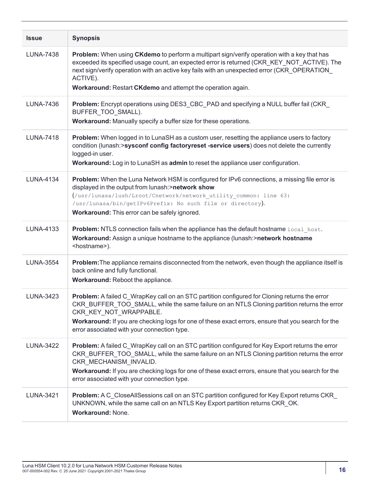| <b>Issue</b>     | <b>Synopsis</b>                                                                                                                                                                                                                                                                                                                                                                |
|------------------|--------------------------------------------------------------------------------------------------------------------------------------------------------------------------------------------------------------------------------------------------------------------------------------------------------------------------------------------------------------------------------|
| <b>LUNA-7438</b> | Problem: When using CKdemo to perform a multipart sign/verify operation with a key that has<br>exceeded its specified usage count, an expected error is returned (CKR_KEY_NOT_ACTIVE). The<br>next sign/verify operation with an active key fails with an unexpected error (CKR_OPERATION_<br>ACTIVE).<br>Workaround: Restart CKdemo and attempt the operation again.          |
| <b>LUNA-7436</b> | <b>Problem:</b> Encrypt operations using DES3_CBC_PAD and specifying a NULL buffer fail (CKR_<br>BUFFER TOO SMALL).<br>Workaround: Manually specify a buffer size for these operations.                                                                                                                                                                                        |
| <b>LUNA-7418</b> | Problem: When logged in to LunaSH as a custom user, resetting the appliance users to factory<br>condition (lunash:>sysconf config factoryreset -service users) does not delete the currently<br>logged-in user.<br>Workaround: Log in to LunaSH as admin to reset the appliance user configuration.                                                                            |
| <b>LUNA-4134</b> | Problem: When the Luna Network HSM is configured for IPv6 connections, a missing file error is<br>displayed in the output from lunash:>network show<br>(/usr/lunasa/lush/Lroot/Cnetwork/network utility common: line 63:<br>/usr/lunasa/bin/getIPv6Prefix: No such file or directory).<br>Workaround: This error can be safely ignored.                                        |
| LUNA-4133        | Problem: NTLS connection fails when the appliance has the default hostname local host.<br>Workaround: Assign a unique hostname to the appliance (lunash:>network hostname<br><hostname>).</hostname>                                                                                                                                                                           |
| <b>LUNA-3554</b> | Problem: The appliance remains disconnected from the network, even though the appliance itself is<br>back online and fully functional.<br>Workaround: Reboot the appliance.                                                                                                                                                                                                    |
| LUNA-3423        | Problem: A failed C_WrapKey call on an STC partition configured for Cloning returns the error<br>CKR_BUFFER_TOO_SMALL, while the same failure on an NTLS Cloning partition returns the error<br>CKR KEY NOT WRAPPABLE.<br>Workaround: If you are checking logs for one of these exact errors, ensure that you search for the<br>error associated with your connection type.    |
| <b>LUNA-3422</b> | Problem: A failed C_WrapKey call on an STC partition configured for Key Export returns the error<br>CKR_BUFFER_TOO_SMALL, while the same failure on an NTLS Cloning partition returns the error<br>CKR_MECHANISM_INVALID.<br>Workaround: If you are checking logs for one of these exact errors, ensure that you search for the<br>error associated with your connection type. |
| LUNA-3421        | Problem: A C_CloseAllSessions call on an STC partition configured for Key Export returns CKR_<br>UNKNOWN, while the same call on an NTLS Key Export partition returns CKR_OK.<br><b>Workaround: None.</b>                                                                                                                                                                      |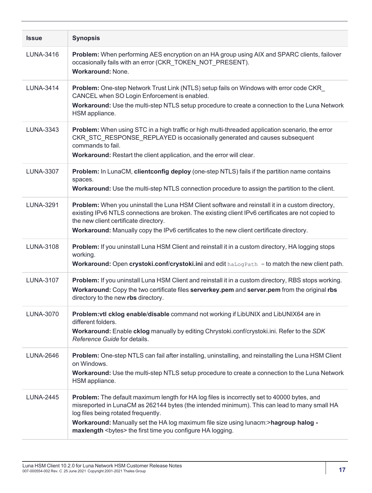| <b>Issue</b>     | <b>Synopsis</b>                                                                                                                                                                                                                                                                                                                                                                                 |
|------------------|-------------------------------------------------------------------------------------------------------------------------------------------------------------------------------------------------------------------------------------------------------------------------------------------------------------------------------------------------------------------------------------------------|
| LUNA-3416        | Problem: When performing AES encryption on an HA group using AIX and SPARC clients, failover<br>occasionally fails with an error (CKR_TOKEN_NOT_PRESENT).<br><b>Workaround: None.</b>                                                                                                                                                                                                           |
| <b>LUNA-3414</b> | <b>Problem:</b> One-step Network Trust Link (NTLS) setup fails on Windows with error code CKR<br>CANCEL when SO Login Enforcement is enabled.<br>Workaround: Use the multi-step NTLS setup procedure to create a connection to the Luna Network<br>HSM appliance.                                                                                                                               |
| LUNA-3343        | Problem: When using STC in a high traffic or high multi-threaded application scenario, the error<br>CKR_STC_RESPONSE_REPLAYED is occasionally generated and causes subsequent<br>commands to fail.<br>Workaround: Restart the client application, and the error will clear.                                                                                                                     |
| <b>LUNA-3307</b> | Problem: In LunaCM, clientconfig deploy (one-step NTLS) fails if the partition name contains<br>spaces.<br>Workaround: Use the multi-step NTLS connection procedure to assign the partition to the client.                                                                                                                                                                                      |
| <b>LUNA-3291</b> | Problem: When you uninstall the Luna HSM Client software and reinstall it in a custom directory,<br>existing IPv6 NTLS connections are broken. The existing client IPv6 certificates are not copied to<br>the new client certificate directory.<br><b>Workaround:</b> Manually copy the IPv6 certificates to the new client certificate directory.                                              |
| LUNA-3108        | Problem: If you uninstall Luna HSM Client and reinstall it in a custom directory, HA logging stops<br>working.<br>Workaround: Open crystoki.conf/crystoki.ini and edit haLogPath = to match the new client path.                                                                                                                                                                                |
| LUNA-3107        | Problem: If you uninstall Luna HSM Client and reinstall it in a custom directory, RBS stops working.<br>Workaround: Copy the two certificate files serverkey.pem and server.pem from the original rbs<br>directory to the new rbs directory.                                                                                                                                                    |
| <b>LUNA-3070</b> | Problem: vtl cklog enable/disable command not working if LibUNIX and LibUNIX64 are in<br>different folders.<br>Workaround: Enable cklog manually by editing Chrystoki.conf/crystoki.ini. Refer to the SDK<br>Reference Guide for details.                                                                                                                                                       |
| <b>LUNA-2646</b> | Problem: One-step NTLS can fail after installing, uninstalling, and reinstalling the Luna HSM Client<br>on Windows.<br>Workaround: Use the multi-step NTLS setup procedure to create a connection to the Luna Network<br>HSM appliance.                                                                                                                                                         |
| <b>LUNA-2445</b> | Problem: The default maximum length for HA log files is incorrectly set to 40000 bytes, and<br>misreported in LunaCM as 262144 bytes (the intended minimum). This can lead to many small HA<br>log files being rotated frequently.<br>Workaround: Manually set the HA log maximum file size using lunacm:>hagroup halog -<br>maxlength <bytes> the first time you configure HA logging.</bytes> |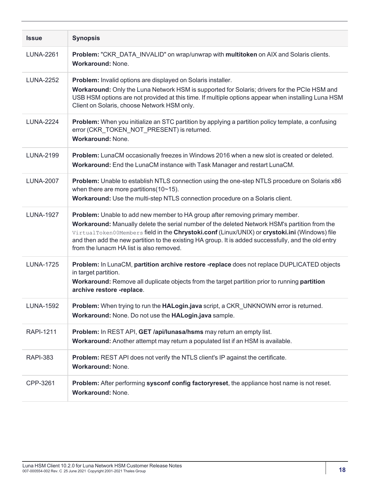| <b>Issue</b>     | <b>Synopsis</b>                                                                                                                                                                                                                                                                                                                                                                                                                    |
|------------------|------------------------------------------------------------------------------------------------------------------------------------------------------------------------------------------------------------------------------------------------------------------------------------------------------------------------------------------------------------------------------------------------------------------------------------|
| <b>LUNA-2261</b> | Problem: "CKR_DATA_INVALID" on wrap/unwrap with multitoken on AIX and Solaris clients.<br>Workaround: None.                                                                                                                                                                                                                                                                                                                        |
| <b>LUNA-2252</b> | Problem: Invalid options are displayed on Solaris installer.<br>Workaround: Only the Luna Network HSM is supported for Solaris; drivers for the PCIe HSM and<br>USB HSM options are not provided at this time. If multiple options appear when installing Luna HSM<br>Client on Solaris, choose Network HSM only.                                                                                                                  |
| <b>LUNA-2224</b> | Problem: When you initialize an STC partition by applying a partition policy template, a confusing<br>error (CKR_TOKEN_NOT_PRESENT) is returned.<br>Workaround: None.                                                                                                                                                                                                                                                              |
| <b>LUNA-2199</b> | Problem: LunaCM occasionally freezes in Windows 2016 when a new slot is created or deleted.<br>Workaround: End the LunaCM instance with Task Manager and restart LunaCM.                                                                                                                                                                                                                                                           |
| <b>LUNA-2007</b> | Problem: Unable to establish NTLS connection using the one-step NTLS procedure on Solaris x86<br>when there are more partitions $(10~15)$ .<br>Workaround: Use the multi-step NTLS connection procedure on a Solaris client.                                                                                                                                                                                                       |
| <b>LUNA-1927</b> | Problem: Unable to add new member to HA group after removing primary member.<br>Workaround: Manually delete the serial number of the deleted Network HSM's partition from the<br>VirtualToken00Members field in the Chrystoki.conf (Linux/UNIX) or crystoki.ini (Windows) file<br>and then add the new partition to the existing HA group. It is added successfully, and the old entry<br>from the lunacm HA list is also removed. |
| <b>LUNA-1725</b> | Problem: In LunaCM, partition archive restore -replace does not replace DUPLICATED objects<br>in target partition.<br>Workaround: Remove all duplicate objects from the target partition prior to running partition<br>archive restore -replace.                                                                                                                                                                                   |
| <b>LUNA-1592</b> | <b>Problem:</b> When trying to run the <b>HALogin.java</b> script, a CKR UNKNOWN error is returned.<br>Workaround: None. Do not use the HALogin.java sample.                                                                                                                                                                                                                                                                       |
| <b>RAPI-1211</b> | Problem: In REST API, GET /api/lunasa/hsms may return an empty list.<br>Workaround: Another attempt may return a populated list if an HSM is available.                                                                                                                                                                                                                                                                            |
| <b>RAPI-383</b>  | Problem: REST API does not verify the NTLS client's IP against the certificate.<br><b>Workaround: None.</b>                                                                                                                                                                                                                                                                                                                        |
| CPP-3261         | Problem: After performing sysconf config factoryreset, the appliance host name is not reset.<br><b>Workaround: None.</b>                                                                                                                                                                                                                                                                                                           |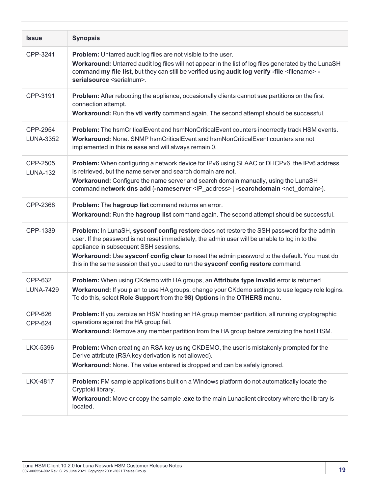| <b>Issue</b>                 | <b>Synopsis</b>                                                                                                                                                                                                                                                                                                                                                                                                            |
|------------------------------|----------------------------------------------------------------------------------------------------------------------------------------------------------------------------------------------------------------------------------------------------------------------------------------------------------------------------------------------------------------------------------------------------------------------------|
| CPP-3241                     | <b>Problem:</b> Untarred audit log files are not visible to the user.<br>Workaround: Untarred audit log files will not appear in the list of log files generated by the LunaSH<br>command my file list, but they can still be verified using audit log verify -file <filename> -<br/>serialsource <serialnum>.</serialnum></filename>                                                                                      |
| CPP-3191                     | <b>Problem:</b> After rebooting the appliance, occasionally clients cannot see partitions on the first<br>connection attempt.<br>Workaround: Run the vtl verify command again. The second attempt should be successful.                                                                                                                                                                                                    |
| CPP-2954<br><b>LUNA-3352</b> | Problem: The hsmCriticalEvent and hsmNonCriticalEvent counters incorrectly track HSM events.<br>Workaround: None. SNMP hsmCriticalEvent and hsmNonCriticalEvent counters are not<br>implemented in this release and will always remain 0.                                                                                                                                                                                  |
| CPP-2505<br><b>LUNA-132</b>  | Problem: When configuring a network device for IPv6 using SLAAC or DHCPv6, the IPv6 address<br>is retrieved, but the name server and search domain are not.<br><b>Workaround:</b> Configure the name server and search domain manually, using the LunaSH<br>command network dns add {-nameserver <ip address="">   -searchdomain <net domain="">}.</net></ip>                                                              |
| CPP-2368                     | Problem: The hagroup list command returns an error.<br>Workaround: Run the hagroup list command again. The second attempt should be successful.                                                                                                                                                                                                                                                                            |
| CPP-1339                     | Problem: In LunaSH, sysconf config restore does not restore the SSH password for the admin<br>user. If the password is not reset immediately, the admin user will be unable to log in to the<br>appliance in subsequent SSH sessions.<br>Workaround: Use sysconf config clear to reset the admin password to the default. You must do<br>this in the same session that you used to run the sysconf config restore command. |
| CPP-632<br><b>LUNA-7429</b>  | Problem: When using CKdemo with HA groups, an Attribute type invalid error is returned.<br>Workaround: If you plan to use HA groups, change your CKdemo settings to use legacy role logins.<br>To do this, select Role Support from the 98) Options in the OTHERS menu.                                                                                                                                                    |
| <b>CPP-626</b><br>CPP-624    | Problem: If you zeroize an HSM hosting an HA group member partition, all running cryptographic<br>operations against the HA group fail.<br>Workaround: Remove any member partition from the HA group before zeroizing the host HSM.                                                                                                                                                                                        |
| LKX-5396                     | Problem: When creating an RSA key using CKDEMO, the user is mistakenly prompted for the<br>Derive attribute (RSA key derivation is not allowed).<br>Workaround: None. The value entered is dropped and can be safely ignored.                                                                                                                                                                                              |
| <b>LKX-4817</b>              | Problem: FM sample applications built on a Windows platform do not automatically locate the<br>Cryptoki library.<br>Workaround: Move or copy the sample .exe to the main Lunaclient directory where the library is<br>located.                                                                                                                                                                                             |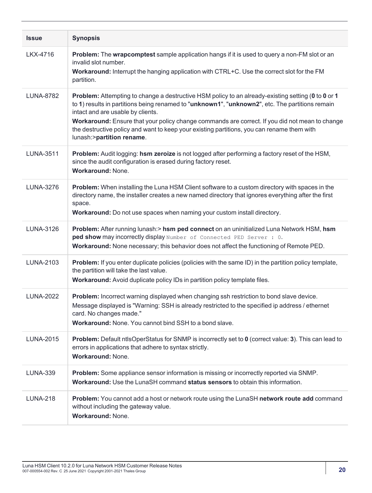| <b>Issue</b>     | <b>Synopsis</b>                                                                                                                                                                                                                                                                                                                                                                                                                                                         |
|------------------|-------------------------------------------------------------------------------------------------------------------------------------------------------------------------------------------------------------------------------------------------------------------------------------------------------------------------------------------------------------------------------------------------------------------------------------------------------------------------|
| LKX-4716         | Problem: The wrapcomptest sample application hangs if it is used to query a non-FM slot or an<br>invalid slot number.<br>Workaround: Interrupt the hanging application with CTRL+C. Use the correct slot for the FM<br>partition.                                                                                                                                                                                                                                       |
| <b>LUNA-8782</b> | Problem: Attempting to change a destructive HSM policy to an already-existing setting (0 to 0 or 1<br>to 1) results in partitions being renamed to "unknown1", "unknown2", etc. The partitions remain<br>intact and are usable by clients.<br>Workaround: Ensure that your policy change commands are correct. If you did not mean to change<br>the destructive policy and want to keep your existing partitions, you can rename them with<br>lunash:>partition rename. |
| <b>LUNA-3511</b> | Problem: Audit logging: hsm zeroize is not logged after performing a factory reset of the HSM,<br>since the audit configuration is erased during factory reset.<br><b>Workaround: None.</b>                                                                                                                                                                                                                                                                             |
| <b>LUNA-3276</b> | Problem: When installing the Luna HSM Client software to a custom directory with spaces in the<br>directory name, the installer creates a new named directory that ignores everything after the first<br>space.<br>Workaround: Do not use spaces when naming your custom install directory.                                                                                                                                                                             |
| LUNA-3126        | Problem: After running lunash:> hsm ped connect on an uninitialized Luna Network HSM, hsm<br>ped show may incorrectly display Number of Connected PED Server : 0.<br>Workaround: None necessary; this behavior does not affect the functioning of Remote PED.                                                                                                                                                                                                           |
| LUNA-2103        | Problem: If you enter duplicate policies (policies with the same ID) in the partition policy template,<br>the partition will take the last value.<br>Workaround: Avoid duplicate policy IDs in partition policy template files.                                                                                                                                                                                                                                         |
| <b>LUNA-2022</b> | Problem: Incorrect warning displayed when changing ssh restriction to bond slave device.<br>Message displayed is "Warning: SSH is already restricted to the specified ip address / ethernet<br>card. No changes made."<br><b>Workaround:</b> None, You cannot bind SSH to a bond slave.                                                                                                                                                                                 |
| <b>LUNA-2015</b> | Problem: Default ntlsOperStatus for SNMP is incorrectly set to 0 (correct value: 3). This can lead to<br>errors in applications that adhere to syntax strictly.<br><b>Workaround: None.</b>                                                                                                                                                                                                                                                                             |
| <b>LUNA-339</b>  | Problem: Some appliance sensor information is missing or incorrectly reported via SNMP.<br>Workaround: Use the LunaSH command status sensors to obtain this information.                                                                                                                                                                                                                                                                                                |
| <b>LUNA-218</b>  | Problem: You cannot add a host or network route using the LunaSH network route add command<br>without including the gateway value.<br><b>Workaround: None.</b>                                                                                                                                                                                                                                                                                                          |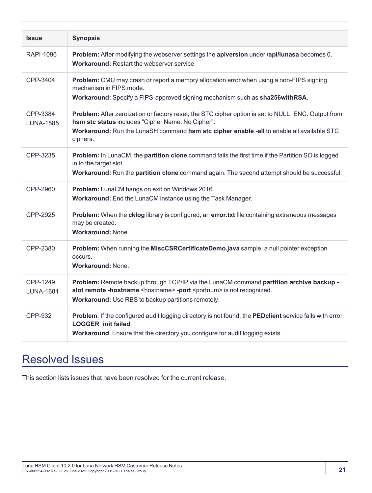| <b>Issue</b>                 | <b>Synopsis</b>                                                                                                                                                                                                                                                  |
|------------------------------|------------------------------------------------------------------------------------------------------------------------------------------------------------------------------------------------------------------------------------------------------------------|
| RAPI-1096                    | Problem: After modifying the webserver settings the apiversion under /api/lunasa becomes 0.<br>Workaround: Restart the webserver service.                                                                                                                        |
| CPP-3404                     | Problem: CMU may crash or report a memory allocation error when using a non-FIPS signing<br>mechanism in FIPS mode.<br>Workaround: Specify a FIPS-approved signing mechanism such as sha256withRSA.                                                              |
| CPP-3384<br><b>LUNA-1585</b> | Problem: After zeroization or factory reset, the STC cipher option is set to NULL_ENC. Output from<br>hsm stc status includes "Cipher Name: No Cipher".<br>Workaround: Run the LunaSH command hsm stc cipher enable -all to enable all available STC<br>ciphers. |
| CPP-3235                     | Problem: In LunaCM, the partition clone command fails the first time if the Partition SO is logged<br>in to the target slot.<br>Workaround: Run the partition clone command again. The second attempt should be successful.                                      |
| CPP-2960                     | Problem: LunaCM hangs on exit on Windows 2016.<br>Workaround: End the LunaCM instance using the Task Manager.                                                                                                                                                    |
| CPP-2925                     | Problem: When the cklog library is configured, an error.txt file containing extraneous messages<br>may be created.<br><b>Workaround: None.</b>                                                                                                                   |
| CPP-2380                     | Problem: When running the MiscCSRCertificateDemo.java sample, a null pointer exception<br>occurs.<br>Workaround: None.                                                                                                                                           |
| CPP-1249<br><b>LUNA-1681</b> | Problem: Remote backup through TCP/IP via the LunaCM command partition archive backup -<br>slot remote -hostname <hostname> -port <portnum> is not recognized.<br/>Workaround: Use RBS to backup partitions remotely.</portnum></hostname>                       |
| CPP-932                      | Problem: If the configured audit logging directory is not found, the PEDclient service fails with error<br>LOGGER_init failed.<br>Workaround: Ensure that the directory you configure for audit logging exists.                                                  |

# <span id="page-20-0"></span>Resolved Issues

This section lists issues that have been resolved for the current release.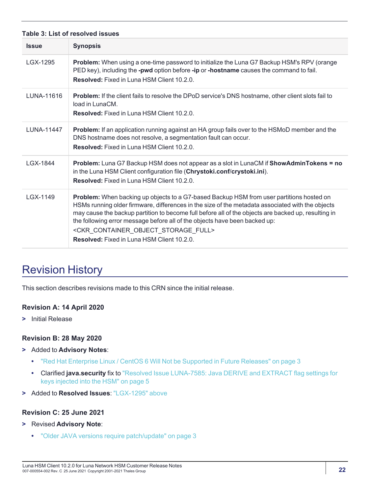<span id="page-21-1"></span>

| Table 3: List of resolved issues |                                                                                                                                                                                                                                                                                                                                                                                                                                                                                                                    |
|----------------------------------|--------------------------------------------------------------------------------------------------------------------------------------------------------------------------------------------------------------------------------------------------------------------------------------------------------------------------------------------------------------------------------------------------------------------------------------------------------------------------------------------------------------------|
| <b>Issue</b>                     | <b>Synopsis</b>                                                                                                                                                                                                                                                                                                                                                                                                                                                                                                    |
| LGX-1295                         | <b>Problem:</b> When using a one-time password to initialize the Luna G7 Backup HSM's RPV (orange<br>PED key), including the -pwd option before -ip or -hostname causes the command to fail.<br><b>Resolved:</b> Fixed in Luna HSM Client 10.2.0.                                                                                                                                                                                                                                                                  |
| LUNA-11616                       | <b>Problem:</b> If the client fails to resolve the DPoD service's DNS hostname, other client slots fail to<br>load in LunaCM.<br><b>Resolved:</b> Fixed in Luna HSM Client 10.2.0.                                                                                                                                                                                                                                                                                                                                 |
| <b>LUNA-11447</b>                | <b>Problem:</b> If an application running against an HA group fails over to the HSMoD member and the<br>DNS hostname does not resolve, a segmentation fault can occur.<br><b>Resolved:</b> Fixed in Luna HSM Client 10.2.0.                                                                                                                                                                                                                                                                                        |
| LGX-1844                         | Problem: Luna G7 Backup HSM does not appear as a slot in LunaCM if ShowAdminTokens = no<br>in the Luna HSM Client configuration file (Chrystoki.conf/crystoki.ini).<br><b>Resolved:</b> Fixed in Luna HSM Client 10.2.0.                                                                                                                                                                                                                                                                                           |
| LGX-1149                         | Problem: When backing up objects to a G7-based Backup HSM from user partitions hosted on<br>HSMs running older firmware, differences in the size of the metadata associated with the objects<br>may cause the backup partition to become full before all of the objects are backed up, resulting in<br>the following error message before all of the objects have been backed up:<br><ckr_container_object_storage_full><br/><b>Resolved:</b> Fixed in Luna HSM Client 10.2.0.</ckr_container_object_storage_full> |

# <span id="page-21-0"></span>Revision History

This section describes revisions made to this CRN since the initial release.

#### **Revision A: 14 April 2020**

**>** Initial Release

#### **Revision B: 28 May 2020**

- **>** Added to **Advisory Notes**:
	- **•** "Red Hat Enterprise Linux / CentOS 6 Will Not be Supported in Future [Releases" on](#page-2-2) page 3
	- **•** Clarified **java.security** fix to "Resolved Issue [LUNA-7585:](#page-4-0) Java DERIVE and EXTRACT flag settings for keys injected into the [HSM" on](#page-4-0) page 5
- **>** Added to **Resolved Issues**: ["LGX-1295" above](#page-21-1)

#### **Revision C: 25 June 2021**

- **>** Revised **Advisory Note**:
	- **•** "Older JAVA versions require [patch/update" on](#page-2-5) page 3